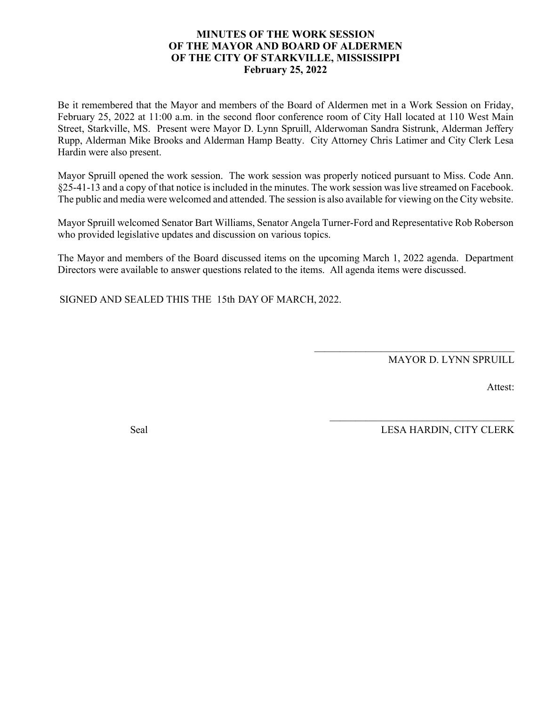#### **MINUTES OF THE WORK SESSION OF THE MAYOR AND BOARD OF ALDERMEN OF THE CITY OF STARKVILLE, MISSISSIPPI February 25, 2022**

Be it remembered that the Mayor and members of the Board of Aldermen met in a Work Session on Friday, February 25, 2022 at 11:00 a.m. in the second floor conference room of City Hall located at 110 West Main Street, Starkville, MS. Present were Mayor D. Lynn Spruill, Alderwoman Sandra Sistrunk, Alderman Jeffery Rupp, Alderman Mike Brooks and Alderman Hamp Beatty. City Attorney Chris Latimer and City Clerk Lesa Hardin were also present.

Mayor Spruill opened the work session. The work session was properly noticed pursuant to Miss. Code Ann. §25-41-13 and a copy of that notice is included in the minutes. The work session waslive streamed on Facebook. The public and media were welcomed and attended. The session is also available for viewing on the City website.

Mayor Spruill welcomed Senator Bart Williams, Senator Angela Turner-Ford and Representative Rob Roberson who provided legislative updates and discussion on various topics.

The Mayor and members of the Board discussed items on the upcoming March 1, 2022 agenda. Department Directors were available to answer questions related to the items. All agenda items were discussed.

SIGNED AND SEALED THIS THE 15th DAY OF MARCH, 2022.

MAYOR D. LYNN SPRUILL

 $\mathcal{L}_\text{max}$  and  $\mathcal{L}_\text{max}$  and  $\mathcal{L}_\text{max}$  and  $\mathcal{L}_\text{max}$ 

 $\mathcal{L}_\text{max}$  , and the set of the set of the set of the set of the set of the set of the set of the set of the set of the set of the set of the set of the set of the set of the set of the set of the set of the set of the

Attest:

Seal LESA HARDIN, CITY CLERK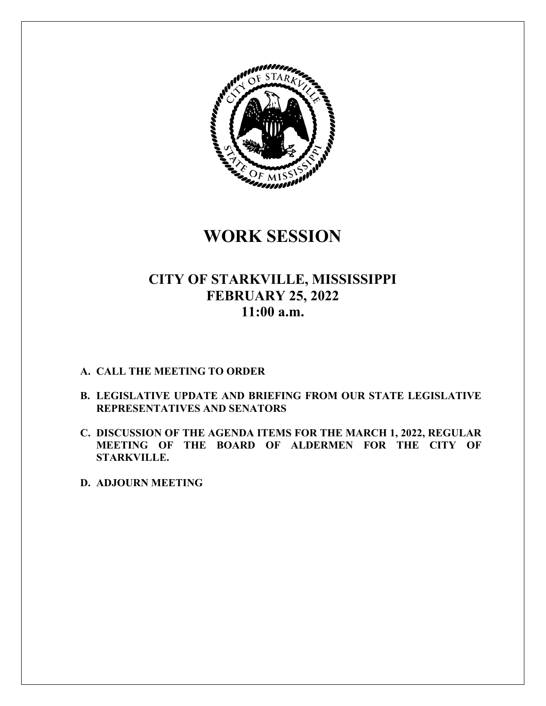

**WORK SESSION** 

### **CITY OF STARKVILLE, MISSISSIPPI FEBRUARY 25, 2022 11:00 a.m.**

#### **A. CALL THE MEETING TO ORDER**

- **B. LEGISLATIVE UPDATE AND BRIEFING FROM OUR STATE LEGISLATIVE REPRESENTATIVES AND SENATORS**
- **C. DISCUSSION OF THE AGENDA ITEMS FOR THE MARCH 1, 2022, REGULAR MEETING OF THE BOARD OF ALDERMEN FOR THE CITY OF STARKVILLE.**

**D. ADJOURN MEETING**